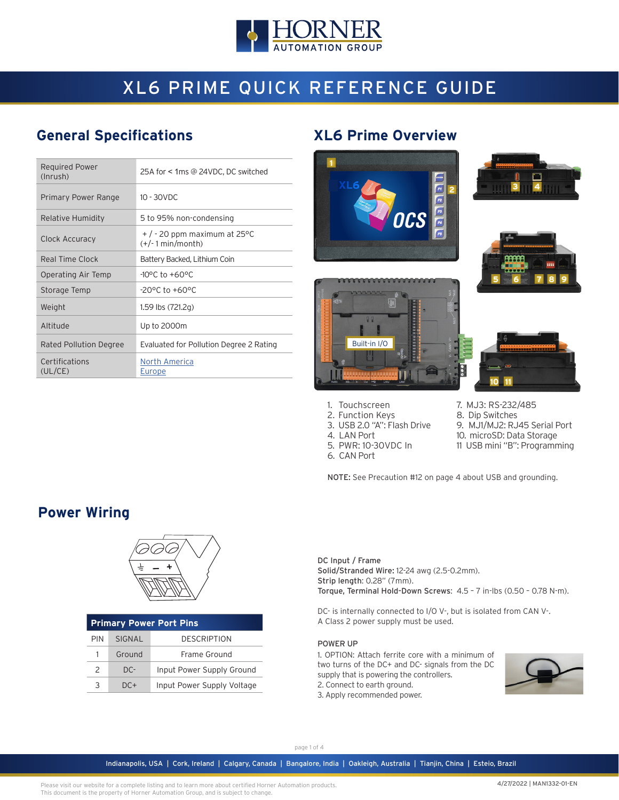

# XL6 PRIME QUICK REFERENCE GUIDE

## **General Specifications XL6 Prime Overview**

| <b>Required Power</b><br>(Inrush) | 25A for < 1ms @ 24VDC, DC switched                     |
|-----------------------------------|--------------------------------------------------------|
| Primary Power Range               | $10 - 30$ VDC                                          |
| Relative Humidity                 | 5 to 95% non-condensing                                |
| Clock Accuracy                    | $+$ / - 20 ppm maximum at 25 °C<br>$(+/- 1 min/month)$ |
| Real Time Clock                   | Battery Backed, Lithium Coin                           |
| Operating Air Temp                | $-10^{\circ}$ C to $+60^{\circ}$ C                     |
| Storage Temp                      | $-20^{\circ}$ C to $+60^{\circ}$ C                     |
| Weight                            | 1.59 lbs $(721.2q)$                                    |
| Altitude                          | Up to 2000m                                            |
| <b>Rated Pollution Degree</b>     | Evaluated for Pollution Degree 2 Rating                |
| Certifications<br>(UL/CE)         | North America<br>Europe                                |











- 1. Touchscreen
- 2. Function Keys 3. USB 2.0 "A": Flash Drive
- 4. LAN Port
- 5. PWR: 10-30VDC In
- 6. CAN Port
- 7. MJ3: RS-232/485 8. Dip Switches
- 9. MJ1/MJ2: RJ45 Serial Port
- 10. microSD: Data Storage
- 11 USB mini "B": Programming

NOTE: See Precaution #12 on page 4 about USB and grounding.

# **Power Wiring**



| <b>Primary Power Port Pins</b> |        |                            |  |  |  |  |  |  |  |
|--------------------------------|--------|----------------------------|--|--|--|--|--|--|--|
| PIN                            | SIGNAL | <b>DESCRIPTION</b>         |  |  |  |  |  |  |  |
| 1.                             | Ground | Frame Ground               |  |  |  |  |  |  |  |
| $\mathcal{P}$                  | $DC -$ | Input Power Supply Ground  |  |  |  |  |  |  |  |
| ર                              | $DC+$  | Input Power Supply Voltage |  |  |  |  |  |  |  |

DC Input / Frame Solid/Stranded Wire: 12-24 awg (2.5-0.2mm). Strip length: 0.28" (7mm). Torque, Terminal Hold-Down Screws: 4.5 – 7 in-lbs (0.50 – 0.78 N-m).

DC- is internally connected to I/O V-, but is isolated from CAN V-. A Class 2 power supply must be used.

#### POWER UP

1. OPTION: Attach ferrite core with a minimum of two turns of the DC+ and DC- signals from the DC supply that is powering the controllers. 2. Connect to earth ground.

3. Apply recommended power.



page 1 of 4

Indianapolis, USA | Cork, Ireland | Calgary, Canada | Bangalore, India | Oakleigh, Australia | Tianjin, China | Esteio, Brazil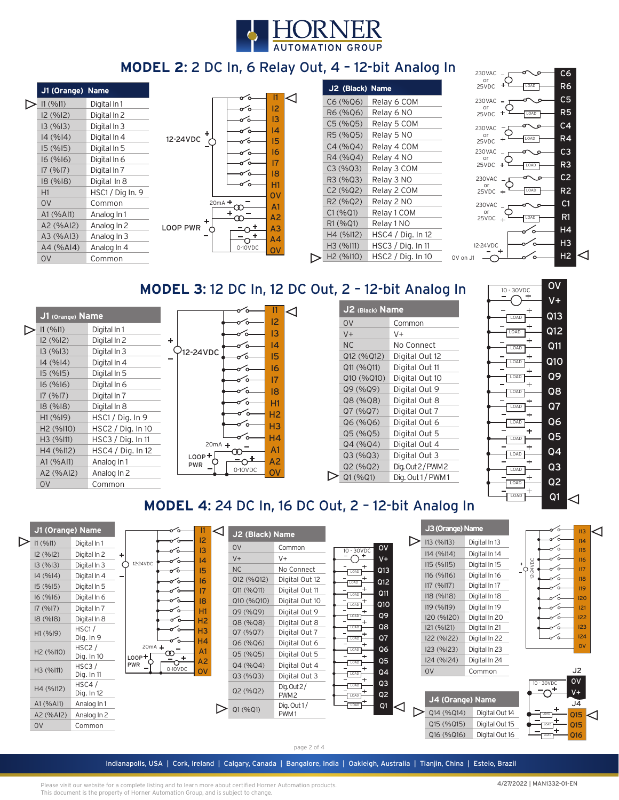

# **MODEL 2:** 2 DC In, 6 Relay Out, 4 – 12-bit Analog In

| 11 (9611) | Digital In 1     |                  |
|-----------|------------------|------------------|
| 12(%12)   | Digital In 2     |                  |
| 13(%13)   | Digital In 3     |                  |
| 14 (%14)  | Digital In 4     | 12               |
| 15(%15)   | Digital In 5     |                  |
| 16(%16)   | Digital In 6     |                  |
| 17(%17)   | Digital In 7     |                  |
| 18(%18)   | Digital In 8     |                  |
| H1        | HSC1 / Dig In. 9 |                  |
| 0V        | Common           |                  |
| A1 (%Al1) | Analog In 1      |                  |
| A2 (%AI2) | Analog In 2      | റ                |
| A3 (%AI3) | Analog In 3      |                  |
| A4 (%A14) | Analog In 4      |                  |
| OV        | Common           |                  |
|           |                  | J1 (Orange) Name |

|          |   |                      | 11              |  |
|----------|---|----------------------|-----------------|--|
|          |   |                      | 12              |  |
|          |   |                      | 13              |  |
|          | ٠ |                      | 4               |  |
| 12-24VDC |   |                      | 15              |  |
|          |   |                      | 16              |  |
|          |   |                      | 17              |  |
|          |   |                      | 8               |  |
|          |   |                      | H1              |  |
|          |   |                      | ov              |  |
|          |   | $20mA +$<br>$\Omega$ | A <sub>1</sub>  |  |
|          | ٠ |                      | A <sub>2</sub>  |  |
| LOOP PWR |   |                      | $\overline{A3}$ |  |
|          |   | ۰                    | A <sub>4</sub>  |  |
|          |   | 0-10VDC              |                 |  |
|          |   |                      |                 |  |

| J2 (Black) Name                   |                   |
|-----------------------------------|-------------------|
| C6(%Q6)                           | Relay 6 COM       |
| R6 (%06)                          | Relay 6 NO        |
| C5(%Q5)                           | Relay 5 COM       |
| R5 (%05)                          | Relay 5 NO        |
| C4 (%04)                          | Relay 4 COM       |
| R4 (%Q4)                          | Relay 4 NO        |
| C3 (%Q3)                          | Relay 3 COM       |
| R3 (%Q3)                          | Relay 3 NO        |
| C2(%Q2)                           | Relay 2 COM       |
| R <sub>2</sub> (%Q <sub>2</sub> ) | Relay 2 NO        |
| C1 (%Q1)                          | Relay 1 COM       |
| R1 (%Q1)                          | Relay 1 NO        |
| H4 (%112)                         | HSC4 / Dig. In 12 |
| H3 (%111)                         | HSC3 / Dig. In 11 |
| H <sub>2</sub> (%110)             | HSC2 / Dig. In 10 |



**MODEL 3:** 12 DC In, 12 DC Out, 2 - 12-bit Analog In Transporter OV

| J1 (Orange) Name      |                     | П<br>12                      |  |
|-----------------------|---------------------|------------------------------|--|
| 11 (%11)              | Digital In 1        | 13                           |  |
| 12 (%12)              | Digital In 2        | ٠<br>14                      |  |
| 13(%13)               | Digital In 3        | 12-24VDC<br>15               |  |
| 14(%14)               | Digital In 4        |                              |  |
| 15(%15)               | Digital In 5        | 16                           |  |
| 16(%16)               | Digital In 6        | 17                           |  |
| 17(%17)               | Digital In 7        | 18                           |  |
| 18(%18)               | Digital In 8        | H1                           |  |
| H1(%19)               | HSC1 / Dig. In 9    | H2                           |  |
| H2 (%110)             | HSC2 / Dig. In 10   | H <sub>3</sub>               |  |
| H <sub>3</sub> (%I11) | $HSC3 /$ Dig. In 11 | H4<br>$20mA +$               |  |
| H4 (%112)             | HSC4 / Dig. In 12   | A <sub>1</sub>               |  |
| A1 (% A11)            | Analog In 1         | $LOOP +$<br>A2<br><b>PWR</b> |  |
| A2 (%AI2)             | Analog In 2         | 0-10VDC<br>OΙ                |  |
| O <sub>V</sub>        | Common              |                              |  |

| J2 (Black) Name |                  |  |  |  |  |  |
|-----------------|------------------|--|--|--|--|--|
| 0V              | Common           |  |  |  |  |  |
| $V +$           | V+               |  |  |  |  |  |
| <b>NC</b>       | No Connect       |  |  |  |  |  |
| Q12 (%Q12)      | Digital Out 12   |  |  |  |  |  |
| Q11 (%Q11)      | Digital Out 11   |  |  |  |  |  |
| Q10 (%Q10)      | Digital Out 10   |  |  |  |  |  |
| Q9 (%Q9)        | Digital Out 9    |  |  |  |  |  |
| Q8 (%Q8)        | Digital Out 8    |  |  |  |  |  |
| Q7 (%Q7)        | Digital Out 7    |  |  |  |  |  |
| Q6 (%Q6)        | Digital Out 6    |  |  |  |  |  |
| Q5 (%Q5)        | Digital Out 5    |  |  |  |  |  |
| Q4 (%Q4)        | Digital Out 4    |  |  |  |  |  |
| Q3(%Q3)         | Digital Out 3    |  |  |  |  |  |
| Q2 (%Q2)        | Dig. Out 2/PWM 2 |  |  |  |  |  |
| Q1 (%Q1)        | Dig. Out 1/PWM1  |  |  |  |  |  |



# **MODEL 4**: 24 DC In, 16 DC Out, 2 – 12-bit Analog In



page 2 of 4

Indianapolis, USA | Cork, Ireland | Calgary, Canada | Bangalore, India | Oakleigh, Australia | Tianjin, China | Esteio, Brazil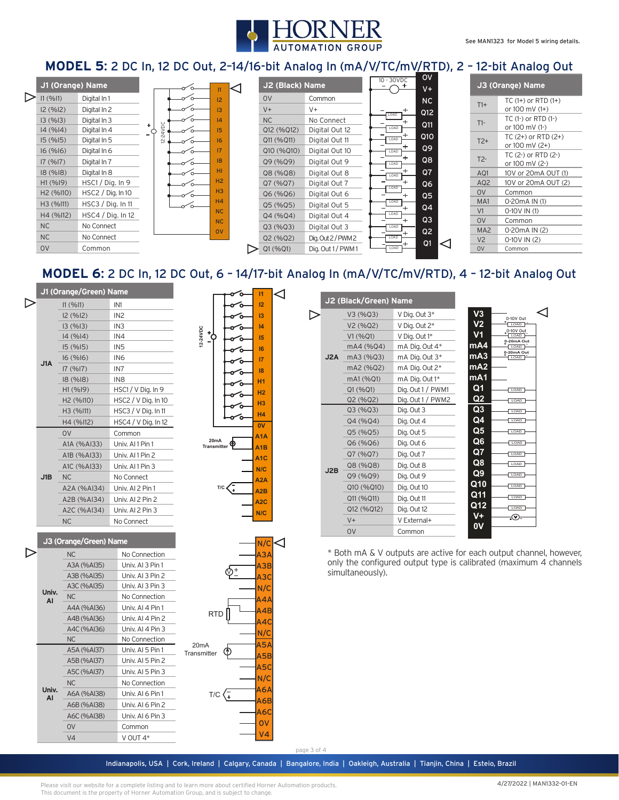

#### **MODEL 5**: 2 DC In, 12 DC Out, 2–14/16-bit Analog In (mA/V/TC/mV/RTD), 2 – 12-bit Analog Out

| J1 (Orange) Name |                       |                   | ⊲ |          |    | J2 (Black) Name  |            |                   | O <sub>V</sub><br>$10 - 30VDC$<br>$V +$ |      |                | J3 (Orange) Name |                 |                                          |  |
|------------------|-----------------------|-------------------|---|----------|----|------------------|------------|-------------------|-----------------------------------------|------|----------------|------------------|-----------------|------------------------------------------|--|
|                  | 11 (9611)             | Digital In 1      |   |          |    | 12               | <b>OV</b>  | Common            |                                         |      | NC             |                  | $T1+$           | $TC(1+)$ or RTD $(1+)$                   |  |
|                  | 12 (%12)              | Digital In 2      |   |          |    | 13               | $V +$      | $V +$             |                                         |      | Q12            |                  |                 | or $100 \text{ mV}$ (1+)                 |  |
|                  | 13(%13)               | Digital In 3      |   | 8        |    | $\overline{a}$   | <b>NC</b>  | No Connect        |                                         | LOAD | Q11            |                  | $T1-$           | $TC(1-)$ or $RTD(1-)$                    |  |
|                  | 14 (%14)              | Digital In 4      |   |          |    | 15               | Q12 (%Q12) | Digital Out 12    |                                         | LOAD |                |                  |                 | or 100 mV (1-)                           |  |
|                  | 15(%15)               | Digital In 5      |   | $\simeq$ |    | 16 <sup>16</sup> | Q11 (%Q11) | Digital Out 11    |                                         | LOAD | Q10            |                  | $T2+$           | $TC(2+)$ or RTD $(2+)$<br>or 100 mV (2+) |  |
|                  | 16(%16)               | Digital In 6      |   |          |    | 17               | Q10 (%Q10) | Digital Out 10    |                                         | LOAD | Q9             |                  |                 | TC (2-) or RTD (2-)                      |  |
|                  | 17(%17)               | Digital In 7      |   |          |    | 8                | Q9 (%Q9)   | Digital Out 9     |                                         | LOAD | Q8             |                  | $T2-$           | or 100 mV (2-)                           |  |
|                  | 18(%18)               | Digital In 8      |   |          | ഻൨ | HI.              | Q8 (%Q8)   | Digital Out 8     |                                         | LOAD | Q <sub>7</sub> |                  | AQ1             | 10V or 20mA OUT (1)                      |  |
|                  | H1(%19)               | HSC1 / Dig. In 9  |   |          |    | H2               | Q7(%Q7)    | Digital Out 7     |                                         | LOAD | Q6             |                  | AQ <sub>2</sub> | 10V or 20mA OUT (2)                      |  |
|                  | H <sub>2</sub> (%110) | HSC2 / Dig. In 10 |   |          |    | H <sub>3</sub>   | Q6(%Q6)    | Digital Out 6     |                                         |      | Q <sub>5</sub> |                  | O <sub>V</sub>  | Common                                   |  |
|                  | H3 (%I11)             | HSC3 / Diq. In 11 |   |          |    | H <sub>4</sub>   | Q5(%Q5)    | Digital Out 5     |                                         | LOAD | Q <sub>4</sub> |                  | MA <sub>1</sub> | 0-20 m A IN (1)                          |  |
|                  | H4 (%112)             | HSC4 / Dig. In 12 |   |          |    | <b>NC</b>        | Q4 (%Q4)   | Digital Out 4     |                                         | LOAD |                |                  | V1              | $0-10V$ IN (1)                           |  |
|                  | <b>NC</b>             | No Connect        |   |          |    | NC               | Q3 (%Q3)   | Digital Out 3     |                                         | LOAD | Q <sub>3</sub> |                  | O <sub>V</sub>  | Common                                   |  |
|                  |                       |                   |   |          |    | <b>OV</b>        |            |                   |                                         |      | Q <sub>2</sub> |                  | MA <sub>2</sub> | 0-20mA IN (2)                            |  |
|                  | <b>NC</b>             | No Connect        |   |          |    |                  | Q2(%Q2)    | Dig. Out 2/PWM 2  |                                         | LOAD | Q1             | <                | V <sub>2</sub>  | $0-10V$ IN (2)                           |  |
|                  | <b>OV</b>             | Common            |   |          |    |                  | Q1(%Q1)    | Dig. Out 1 / PWM1 |                                         | LOAD |                |                  | <b>OV</b>       | Common                                   |  |

### **MODEL 6**: 2 DC In, 12 DC Out, 6 – 14/17-bit Analog In (mA/V/TC/mV/RTD), 4 – 12-bit Analog Out

|   |           | J1 (Orange/Green) Name |                       |                           |            | $\overline{11}$         | ◁           |     |                       |                                                                    |                  |                    |    |  |
|---|-----------|------------------------|-----------------------|---------------------------|------------|-------------------------|-------------|-----|-----------------------|--------------------------------------------------------------------|------------------|--------------------|----|--|
| ▷ |           | 11 (9611)              | IN1                   |                           |            | 12                      |             |     | J2 (Black/Green) Name |                                                                    |                  |                    |    |  |
|   |           | I2 (%I2)               | IN <sub>2</sub>       |                           |            | 13                      |             | ▷   | V3 (%Q3)              | V Dig. Out 3*                                                      | V3               | 0-10V Out          | ⊲  |  |
|   |           | 13(%13)                | IN <sub>3</sub>       |                           |            | 4                       |             |     | V2 (%Q2)              | V Dig. Out 2*                                                      | V <sub>2</sub>   | LOAD               |    |  |
|   |           | 14(%14)                | IN4                   | 12-24VDC<br>$\frac{1}{2}$ |            | 15                      |             |     | V1 (%Q1)              | V Dig. Out 1*                                                      | V <sub>1</sub>   | 0-10V Out<br>LOAD  |    |  |
|   |           | 15(%15)                | IN <sub>5</sub>       |                           |            | 16                      |             |     | mA4 (%Q4)             | mA Dig. Out 4*                                                     | mA4              | 0-20mA Out<br>LOAD |    |  |
|   |           | 16(%16)                | IN <sub>6</sub>       |                           |            | $\overline{17}$         |             | J2A | mA3 (%Q3)             | mA Dig. Out 3*                                                     | mA3              | 0-20mA Out<br>LOAD |    |  |
|   | J1A       | 17(%17)                | IN7                   |                           |            | 18                      |             |     | mA2 (%Q2)             | mA Dig. Out 2*                                                     | mA2              |                    |    |  |
|   |           | 18(%18)                | IN <sub>8</sub>       |                           |            | <b>H1</b>               |             |     | mA1 (%Q1)             | mA Dig. Out 1*                                                     | mA1              |                    |    |  |
|   |           | H1 (%19)               | HSC1 / V Dig. In 9    |                           |            | H <sub>2</sub>          |             |     | Q1 (%Q1)              | Dig. Out 1 / PWM1                                                  | Q <sub>1</sub>   | LOAD               |    |  |
|   |           | H2 (%I10)              | HSC2 / V Dig. In 10   |                           |            | H <sub>3</sub>          |             |     | Q2 (%Q2)              | Dig. Out 1 / PWM2                                                  | Q2               | LOAD               |    |  |
|   |           | H3 (%I11)              | HSC3 / V Dig. In 11   |                           |            | <b>H4</b>               |             |     | Q3 (%Q3)              | Dig. Out 3                                                         | Q3               | LOAD               |    |  |
|   |           | H4 (%I12)              | $HSC4 / V$ Dig. In 12 |                           |            | $\overline{ov}$         |             |     | Q4 (%Q4)              | Dig. Out 4                                                         | Q <sub>4</sub>   | LOAD               |    |  |
|   |           | <b>OV</b>              | Common                |                           |            | A <sub>1</sub> A        |             |     | Q5 (%Q5)              | Dig. Out 5                                                         | Q <sub>5</sub>   | LOAD               |    |  |
|   |           | A1A (%AI33)            | Univ. Al 1 Pin 1      | 20mA<br>Transmitter       | Φ          | A <sub>1</sub> B        |             |     | Q6 (%Q6)              | Dig. Out 6                                                         | Q <sub>6</sub>   | LOAD               |    |  |
|   |           | A1B (%AI33)            | Univ. Al 1 Pin 2      |                           |            | A <sub>1</sub> C        |             |     | Q7 (%Q7)              | Dig. Out 7                                                         | Q7               | LOAD               |    |  |
|   |           | A1C (%AI33)            | Univ. Al 1 Pin 3      |                           |            | N/C<br>A <sub>2</sub> A |             | J2B | Q8 (%Q8)              | Dig. Out 8                                                         | Q8               | LOAD<br>Q9<br>LOAD |    |  |
|   | J1B       | <b>NC</b>              | No Connect            |                           |            |                         |             |     | Q9 (%Q9)              | Dig. Out 9                                                         |                  |                    |    |  |
|   |           | A2A (%AI34)            | Univ. AI 2 Pin 1      |                           |            | A2B                     |             |     | Q10 (%Q10)            | Dig. Out 10                                                        | Q10              | LOAD               |    |  |
|   |           | A2B (%AI34)            | Univ. AI 2 Pin 2      |                           |            | A <sub>2</sub> C        |             |     | Q11 (%Q11)            | Dig. Out 11                                                        | Q11              | LOAD               |    |  |
|   |           | A2C (%AI34)            | Univ. AI 2 Pin 3      |                           |            | N/C                     |             |     | Q12 (%Q12)            | Dig. Out 12                                                        | $\overline{Q12}$ | LOAD               |    |  |
|   |           | <b>NC</b>              | No Connect            |                           |            |                         |             |     | $V +$                 | V External+                                                        | $V+$             | Q.                 |    |  |
|   |           |                        |                       |                           |            |                         |             |     |                       |                                                                    | <b>OV</b>        | Common             | 0V |  |
|   |           | J3 (Orange/Green) Name |                       |                           |            | N/C                     |             |     |                       |                                                                    |                  |                    |    |  |
| ▷ |           | <b>NC</b>              | No Connection         |                           |            | АЗА                     |             |     |                       | * Both mA & V outputs are active for each output channel, however, |                  |                    |    |  |
|   |           | A3A (%AI35)            | Univ. AI 3 Pin 1      |                           |            | A3B                     |             |     |                       | only the configured output type is calibrated (maximum 4 channels  |                  |                    |    |  |
|   |           | A3B (%AI35)            | Univ. Al 3 Pin 2      |                           | φ±         | A3C                     |             |     | simultaneously).      |                                                                    |                  |                    |    |  |
|   | Univ.     | A3C (%AI35)            | Univ. Al 3 Pin 3      |                           |            | N/C                     |             |     |                       |                                                                    |                  |                    |    |  |
|   | AI        | <b>NC</b>              | No Connection         |                           | <b>A4A</b> |                         |             |     |                       |                                                                    |                  |                    |    |  |
|   |           | A4A (%AI36)            | Univ. Al 4 Pin 1      |                           | <b>RTD</b> | AAB                     |             |     |                       |                                                                    |                  |                    |    |  |
|   |           | A4B (%Al36)            | Univ. Al 4 Pin 2      |                           |            | A4C                     |             |     |                       |                                                                    |                  |                    |    |  |
|   |           | A4C (%AI36)            | Univ. Al 4 Pin 3      |                           |            | N/C                     |             |     |                       |                                                                    |                  |                    |    |  |
|   |           | <b>NC</b>              | No Connection         | 20 <sub>m</sub> A         |            | A5A                     |             |     |                       |                                                                    |                  |                    |    |  |
|   |           | A5A (%AI37)            | Univ. AI 5 Pin 1      | Transmitter               | ℗          | A5B                     |             |     |                       |                                                                    |                  |                    |    |  |
|   |           | A5B (%AI37)            | Univ. Al 5 Pin 2      |                           |            | A5C                     |             |     |                       |                                                                    |                  |                    |    |  |
|   |           | A5C (%AI37)            | Univ. Al 5 Pin 3      |                           |            | N/C                     |             |     |                       |                                                                    |                  |                    |    |  |
|   | Univ.     | <b>NC</b>              | No Connection         |                           |            | A6A                     |             |     |                       |                                                                    |                  |                    |    |  |
|   | <b>AI</b> | A6A (%AI38)            | Univ. AI 6 Pin 1      | T/C                       | ∕∓         | A6B                     |             |     |                       |                                                                    |                  |                    |    |  |
|   |           | A6B (%AI38)            | Univ. AI 6 Pin 2      |                           |            |                         |             |     |                       |                                                                    |                  |                    |    |  |
|   |           | A6C (%AI38)            | Univ. AI 6 Pin 3      |                           |            | <b>A6C</b>              |             |     |                       |                                                                    |                  |                    |    |  |
|   |           | <b>OV</b>              | Common                |                           |            | <b>OV</b>               |             |     |                       |                                                                    |                  |                    |    |  |
|   |           | V <sub>4</sub>         | V OUT 4*              |                           |            | ۷4                      |             |     |                       |                                                                    |                  |                    |    |  |
|   |           |                        |                       |                           |            |                         | page 3 of 4 |     |                       |                                                                    |                  |                    |    |  |

Indianapolis, USA | Cork, Ireland | Calgary, Canada | Bangalore, India | Oakleigh, Australia | Tianjin, China | Esteio, Brazil